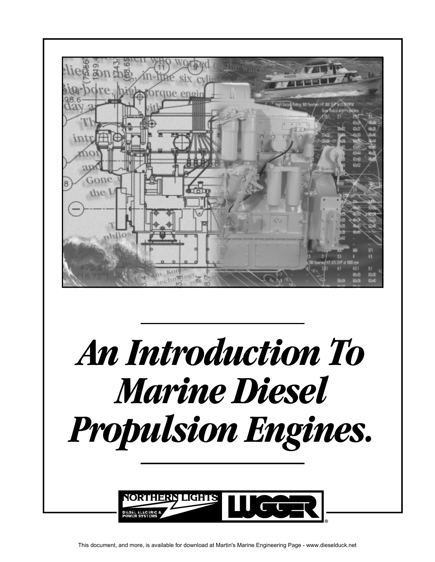

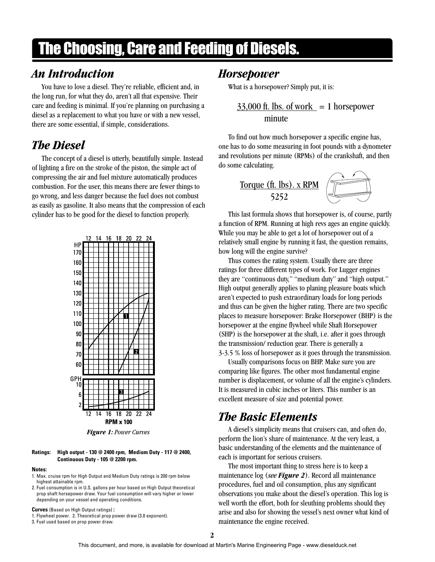# The Choosing, Care and Feeding of Diesels.

# *An Introduction*

You have to love a diesel. They're reliable, efficient and, in the long run, for what they do, aren't all that expensive. Their care and feeding is minimal. If you're planning on purchasing a diesel as a replacement to what you have or with a new vessel, there are some essential, if simple, considerations.

# *The Diesel*

The concept of a diesel is utterly, beautifully simple. Instead of lighting a fire on the stroke of the piston, the simple act of compressing the air and fuel mixture automatically produces combustion. For the user, this means there are fewer things to go wrong, and less danger because the fuel does not combust as easily as gasoline. It also means that the compression of each cylinder has to be good for the diesel to function properly.



*Figure 1: Power Curves*

#### **Ratings: High output - 130 @ 2400 rpm, Medium Duty - 117 @ 2400, Continuous Duty - 105 @ 2200 rpm.**

#### **Notes:**

- 1. Max. cruise rpm for High Output and Medium Duty ratings is 200 rpm below highest attainable rpm.
- 2. Fuel consumption is in U.S. gallons per hour based on High Output theoretical prop shaft horsepower draw. Your fuel consumption will vary higher or lower depending on your vessel and operating conditions.

**Curves** (Based on High Output ratings) **:**

1. Flywheel power. 2. Theoretical prop power draw (3.0 exponent).

3. Fuel used based on prop power draw.

#### *Horsepower*

What is a horsepower? Simply put, it is:

 $33,000$  ft. lbs. of work = 1 horsepower minute

To find out how much horsepower a specific engine has, one has to do some measuring in foot pounds with a dynometer and revolutions per minute (RPMs) of the crankshaft, and then do some calculating.

Torque (ft. Ibs). x RPM 
$$
\overbrace{\phantom{25252}}^{\text{Torque (ft. Ibs). x RPM}}
$$

This last formula shows that horsepower is, of course, partly a function of RPM. Running at high revs ages an engine quickly. While you may be able to get a lot of horsepower out of a relatively small engine by running it fast, the question remains, how long will the engine survive?

Thus comes the rating system. Usually there are three ratings for three different types of work. For Lugger engines they are "continuous duty," "medium duty" and "high output." High output generally applies to planing pleasure boats which aren't expected to push extraordinary loads for long periods and thus can be given the higher rating. There are two specific places to measure horsepower: Brake Horsepower (BHP) is the horsepower at the engine flywheel while Shaft Horsepower (SHP) is the horsepower at the shaft, i.e. after it goes through the transmission/ reduction gear. There is generally a 3-3.5 % loss of horsepower as it goes through the transmission.

Usually comparisons focus on BHP. Make sure you are comparing like figures. The other most fundamental engine number is displacement, or volume of all the engine's cylinders. It is measured in cubic inches or liters. This number is an excellent measure of size and potential power.

#### *The Basic Elements*

A diesel's simplicity means that cruisers can, and often do, perform the lion's share of maintenance. At the very least, a basic understanding of the elements and the maintenance of each is important for serious cruisers.

The most important thing to stress here is to keep a maintenance log (*see Figure 2*). Record all maintenance procedures, fuel and oil consumption, plus any significant observations you make about the diesel's operation. This log is well worth the effort, both for sleuthing problems should they arise and also for showing the vessel's next owner what kind of maintenance the engine received.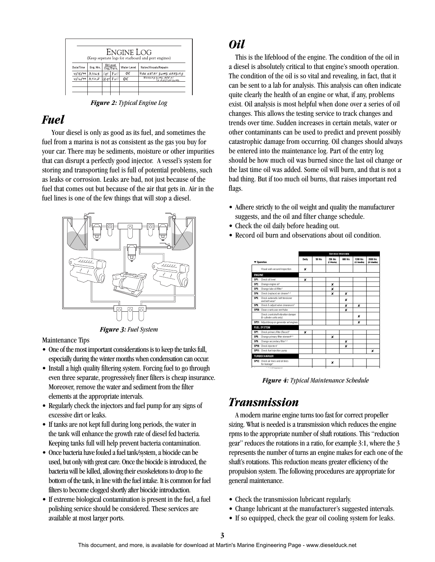| Engine Log<br>(Keep seperate logs for starboard and port engines) |         |     |                          |             |                                            |  |  |  |
|-------------------------------------------------------------------|---------|-----|--------------------------|-------------|--------------------------------------------|--|--|--|
| Date/Time                                                         | Eng Hrs |     | Oil Level<br>Eng./Trans. | Water Level | Notes/Visuals/Repairs                      |  |  |  |
| 41/5/99                                                           | 3,706.8 | 'at | Full                     | ОK          | Raw water pump weeping                     |  |  |  |
| $\frac{1}{41/6/99}$ 3,7/0,2 //sat                                 |         |     | FvII                     | ОK          | Weeping pump, add oil<br>to injection numn |  |  |  |
|                                                                   |         |     |                          |             |                                            |  |  |  |

*Figure 2: Typical Engine Log*

### *Fuel*

Your diesel is only as good as its fuel, and sometimes the fuel from a marina is not as consistent as the gas you buy for your car. There may be sediments, moisture or other impurities that can disrupt a perfectly good injector. A vessel's system for storing and transporting fuel is full of potential problems, such as leaks or corrosion. Leaks are bad, not just because of the fuel that comes out but because of the air that gets in. Air in the fuel lines is one of the few things that will stop a diesel.



*Figure 3: Fuel System*

Maintenance Tips

- One of the most important considerations is to keep the tanks full, especially during the winter months when condensation can occur.
- Install a high quality filtering system. Forcing fuel to go through even three separate, progressively finer filters is cheap insurance. Moreover, remove the water and sediment from the filter elements at the appropriate intervals.
- Regularly check the injectors and fuel pump for any signs of excessive dirt or leaks.
- If tanks are not kept full during long periods, the water in the tank will enhance the growth rate of diesel fed bacteria. Keeping tanks full will help prevent bacteria contamination.
- Once bacteria have fouled a fuel tank/system, a biocide can be used, but only with great care. Once the biocide is introduced, the bacteria will be killed, allowing their exoskeletons to drop to the bottom of the tank, in line with the fuel intake. It is common for fuel filters to become clogged shortly after biocide introduction.
- If extreme biological contamination is present in the fuel, a fuel polishing service should be considered. These services are available at most larger ports.

# *Oil*

This is the lifeblood of the engine. The condition of the oil in a diesel is absolutely critical to that engine's smooth operation. The condition of the oil is so vital and revealing, in fact, that it can be sent to a lab for analysis. This analysis can often indicate quite clearly the health of an engine or what, if any, problems exist. Oil analysis is most helpful when done over a series of oil changes. This allows the testing service to track changes and trends over time. Sudden increases in certain metals, water or other contaminants can be used to predict and prevent possibly catastrophic damage from occurring. Oil changes should always be entered into the maintenance log. Part of the entry log should be how much oil was burned since the last oil change or the last time oil was added. Some oil will burn, and that is not a bad thing. But if too much oil burns, that raises important red flags.

- Adhere strictly to the oil weight and quality the manufacturer suggests, and the oil and filter change schedule.
- Check the oil daily before heading out.
- Record oil burn and observations about oil condition.

|                    |                                                                 | Service Intervals |        |                    |         |                                |                         |  |
|--------------------|-----------------------------------------------------------------|-------------------|--------|--------------------|---------|--------------------------------|-------------------------|--|
| <b>V</b> Operation |                                                                 | Daily             | 50 Hrs | 250 Hrs<br>2 Weeks | 600 Hzs | <b>1200 Hrs</b><br>(12 Months) | 2000 Hrs<br>(24 Months) |  |
|                    | Visual walk-around inspection                                   | ×                 |        |                    |         |                                |                         |  |
| <b>ENGINE</b>      |                                                                 |                   |        |                    |         |                                |                         |  |
| SPI:               | Check oil level                                                 | ×                 |        |                    |         |                                |                         |  |
| SP <sub>2</sub>    | Change engine oil!                                              |                   |        | ×                  |         |                                |                         |  |
| SPS:               | Change lube oil filter <sup>1</sup>                             |                   |        | ×                  |         |                                |                         |  |
| SP4:               | Check (replace) air cleaner <sup>t, 3</sup>                     |                   |        | ×                  | x       |                                |                         |  |
| SPS:               | Check automatic belt tensioner<br>and helt wear!                |                   |        |                    | ×       |                                |                         |  |
| SPE:               | Check & adjust valve clearances <sup>1</sup>                    |                   |        |                    | ×       | ×                              |                         |  |
|                    | SP20: Clean crankcase vent tube                                 |                   |        |                    | ×       |                                |                         |  |
|                    | Check crankshaft vibration damper<br>(6-cylinder units only)    |                   |        |                    |         | ×                              |                         |  |
|                    | SP21: Adjustdroop on generator set engines                      |                   |        |                    |         | ×                              |                         |  |
|                    | <b>FUEL SYSTEM</b>                                              |                   |        |                    |         |                                |                         |  |
| SP7:               | Check primary filter (Racor) <sup>2</sup>                       | ×                 |        |                    |         |                                |                         |  |
| SP <sub>2</sub>    | Change primary filter element <sup>e, a</sup>                   |                   |        | ×                  |         |                                |                         |  |
| SP <sub>2</sub>    | Change secondary filter <sup>1, 3</sup>                         |                   |        |                    | ×       |                                |                         |  |
|                    | SPID: Check injectors <sup>t</sup>                              |                   |        |                    | ×       |                                |                         |  |
|                    | SP11: Check fuel injection pump                                 |                   |        |                    |         |                                | x                       |  |
|                    | <b>TURBOCHARGER</b>                                             |                   |        |                    |         |                                |                         |  |
|                    | SP12: Check air lines and oil lines<br>for leakage <sup>®</sup> |                   |        | ×                  |         |                                |                         |  |
| Ξ                  | <b>Charles Controller Community</b>                             |                   |        |                    |         |                                |                         |  |

*Figure 4: Typical Maintenance Schedule*

# *Transmission*

A modern marine engine turns too fast for correct propeller sizing. What is needed is a transmission which reduces the engine rpms to the appropriate number of shaft rotations. This "reduction gear" reduces the rotations in a ratio, for example 3:1, where the 3 represents the number of turns an engine makes for each one of the shaft's rotations. This reduction means greater efficiency of the propulsion system. The following procedures are appropriate for general maintenance.

- Check the transmission lubricant regularly.
- Change lubricant at the manufacturer's suggested intervals.
- If so equipped, check the gear oil cooling system for leaks.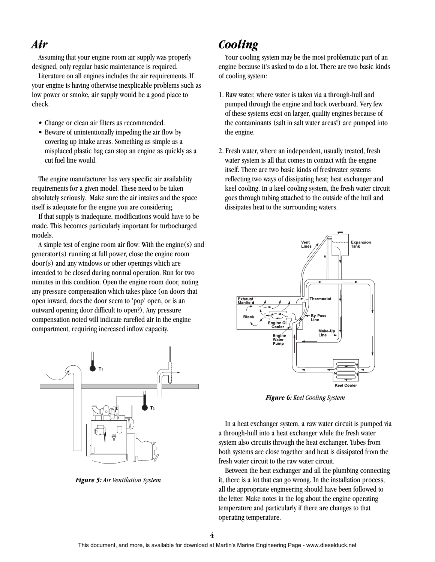### *Air*

Assuming that your engine room air supply was properly designed, only regular basic maintenance is required.

Literature on all engines includes the air requirements. If your engine is having otherwise inexplicable problems such as low power or smoke, air supply would be a good place to check.

- Change or clean air filters as recommended.
- Beware of unintentionally impeding the air flow by covering up intake areas. Something as simple as a misplaced plastic bag can stop an engine as quickly as a cut fuel line would.

The engine manufacturer has very specific air availability requirements for a given model. These need to be taken absolutely seriously. Make sure the air intakes and the space itself is adequate for the engine you are considering.

If that supply is inadequate, modifications would have to be made. This becomes particularly important for turbocharged models.

A simple test of engine room air flow: With the engine(s) and generator(s) running at full power, close the engine room door(s) and any windows or other openings which are intended to be closed during normal operation. Run for two minutes in this condition. Open the engine room door, noting any pressure compensation which takes place (on doors that open inward, does the door seem to 'pop' open, or is an outward opening door difficult to open?). Any pressure compensation noted will indicate rarefied air in the engine compartment, requiring increased inflow capacity.



*Figure 5: Air Ventilation System*

# *Cooling*

Your cooling system may be the most problematic part of an engine because it's asked to do a lot. There are two basic kinds of cooling system:

- 1. Raw water, where water is taken via a through-hull and pumped through the engine and back overboard. Very few of these systems exist on larger, quality engines because of the contaminants (salt in salt water areas!) are pumped into the engine.
- 2. Fresh water, where an independent, usually treated, fresh water system is all that comes in contact with the engine itself. There are two basic kinds of freshwater systems reflecting two ways of dissipating heat; heat exchanger and keel cooling. In a keel cooling system, the fresh water circuit goes through tubing attached to the outside of the hull and dissipates heat to the surrounding waters.



*Figure 6: Keel Cooling System*

In a heat exchanger system, a raw water circuit is pumped via a through-hull into a heat exchanger while the fresh water system also circuits through the heat exchanger. Tubes from both systems are close together and heat is dissipated from the fresh water circuit to the raw water circuit.

Between the heat exchanger and all the plumbing connecting it, there is a lot that can go wrong. In the installation process, all the appropriate engineering should have been followed to the letter. Make notes in the log about the engine operating temperature and particularly if there are changes to that operating temperature.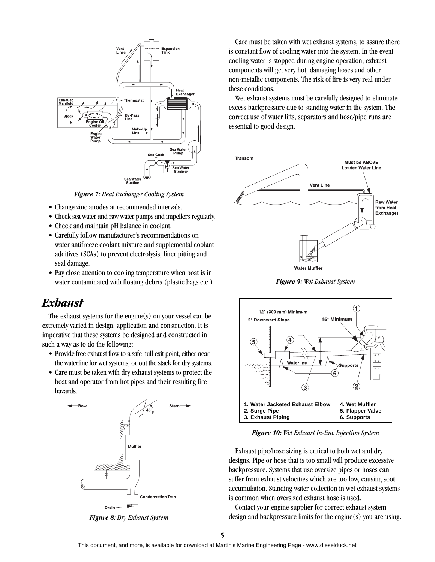

*Figure 7: Heat Exchanger Cooling System*

- Change zinc anodes at recommended intervals.
- Check sea water and raw water pumps and impellers regularly.
- Check and maintain pH balance in coolant.
- Carefully follow manufacturer's recommendations on water-antifreeze coolant mixture and supplemental coolant additives (SCAs) to prevent electrolysis, liner pitting and seal damage.
- Pay close attention to cooling temperature when boat is in water contaminated with floating debris (plastic bags etc.)

### *Exhaust*

The exhaust systems for the engine $(s)$  on your vessel can be extremely varied in design, application and construction. It is imperative that these systems be designed and constructed in such a way as to do the following:

- Provide free exhaust flow to a safe hull exit point, either near the waterline for wet systems, or out the stack for dry systems.
- Care must be taken with dry exhaust systems to protect the boat and operator from hot pipes and their resulting fire hazards.



*Figure 8: Dry Exhaust System*

Care must be taken with wet exhaust systems, to assure there is constant flow of cooling water into the system. In the event cooling water is stopped during engine operation, exhaust components will get very hot, damaging hoses and other non-metallic components. The risk of fire is very real under these conditions.

Wet exhaust systems must be carefully designed to eliminate excess backpressure due to standing water in the system. The correct use of water lifts, separators and hose/pipe runs are essential to good design.



*Figure 9: Wet Exhaust System*



*Figure 10: Wet Exhaust In-line Injection System*

Exhaust pipe/hose sizing is critical to both wet and dry designs. Pipe or hose that is too small will produce excessive backpressure. Systems that use oversize pipes or hoses can suffer from exhaust velocities which are too low, causing soot accumulation. Standing water collection in wet exhaust systems is common when oversized exhaust hose is used.

Contact your engine supplier for correct exhaust system design and backpressure limits for the engine(s) you are using.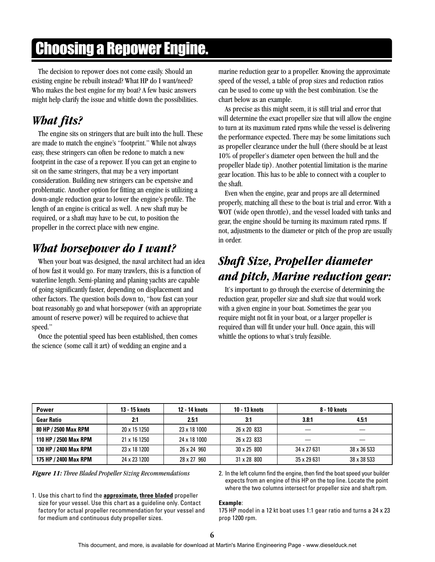# Choosing a Repower Engine.

The decision to repower does not come easily. Should an existing engine be rebuilt instead? What HP do I want/need? Who makes the best engine for my boat? A few basic answers might help clarify the issue and whittle down the possibilities.

# *What fits?*

The engine sits on stringers that are built into the hull. These are made to match the engine's "footprint." While not always easy, these stringers can often be redone to match a new footprint in the case of a repower. If you can get an engine to sit on the same stringers, that may be a very important consideration. Building new stringers can be expensive and problematic. Another option for fitting an engine is utilizing a down-angle reduction gear to lower the engine's profile. The length of an engine is critical as well. A new shaft may be required, or a shaft may have to be cut, to position the propeller in the correct place with new engine.

# *What horsepower do I want?*

When your boat was designed, the naval architect had an idea of how fast it would go. For many trawlers, this is a function of waterline length. Semi-planing and planing yachts are capable of going significantly faster, depending on displacement and other factors. The question boils down to, "how fast can your boat reasonably go and what horsepower (with an appropriate amount of reserve power) will be required to achieve that speed."

Once the potential speed has been established, then comes the science (some call it art) of wedding an engine and a

marine reduction gear to a propeller. Knowing the approximate speed of the vessel, a table of prop sizes and reduction ratios can be used to come up with the best combination. Use the chart below as an example.

As precise as this might seem, it is still trial and error that will determine the exact propeller size that will allow the engine to turn at its maximum rated rpms while the vessel is delivering the performance expected. There may be some limitations such as propeller clearance under the hull (there should be at least 10% of propeller's diameter open between the hull and the propeller blade tip). Another potential limitation is the marine gear location. This has to be able to connect with a coupler to the shaft.

Even when the engine, gear and props are all determined properly, matching all these to the boat is trial and error. With a WOT (wide open throttle), and the vessel loaded with tanks and gear, the engine should be turning its maximum rated rpms. If not, adjustments to the diameter or pitch of the prop are usually in order.

# *Shaft Size, Propeller diameter and pitch, Marine reduction gear:*

It's important to go through the exercise of determining the reduction gear, propeller size and shaft size that would work with a given engine in your boat. Sometimes the gear you require might not fit in your boat, or a larger propeller is required than will fit under your hull. Once again, this will whittle the options to what's truly feasible.

| <b>Power</b>          | 13 - 15 knots | 12 - 14 knots | 10 - 13 knots      | 8 - 10 knots      |             |
|-----------------------|---------------|---------------|--------------------|-------------------|-------------|
| <b>Gear Ratio</b>     | 2:1           | 2.5:1         | 3:1                | 3.8:1             | 4.5:1       |
| 80 HP / 2500 Max RPM  | 20 x 15 1250  | 23 x 18 1000  | 26 x 20 833        |                   |             |
| 110 HP / 2500 Max RPM | 21 x 16 1250  | 24 x 18 1000  | 26 x 23 833        |                   |             |
| 130 HP / 2400 Max RPM | 23 x 18 1200  | 26 x 24 960   | $30 \times 25800$  | $34 \times 27631$ | 38 x 36 533 |
| 175 HP / 2400 Max RPM | 24 x 23 1200  | 28 x 27 960   | $31 \times 28$ 800 | 35 x 29 631       | 38 x 38 533 |

1. Use this chart to find the **approximate, three bladed** propeller size for your vessel. Use this chart as a guideline only. Contact factory for actual propeller recommendation for your vessel and for medium and continuous duty propeller sizes.

*Figure 11: Three Bladed Propeller Sizing Recommendations* 2. In the left column find the engine, then find the boat speed your builder expects from an engine of this HP on the top line. Locate the point where the two columns intersect for propeller size and shaft rpm.

#### **Example**:

175 HP model in a 12 kt boat uses 1:1 gear ratio and turns a 24 x 23 prop 1200 rpm.